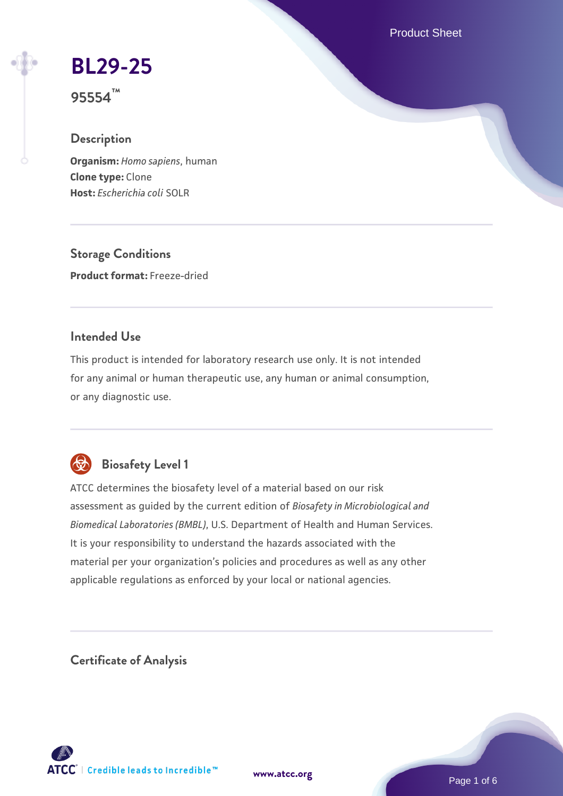Product Sheet

# **[BL29-25](https://www.atcc.org/products/95554)**

**95554™**

## **Description**

**Organism:** *Homo sapiens*, human **Clone type:** Clone **Host:** *Escherichia coli* SOLR

**Storage Conditions Product format:** Freeze-dried

## **Intended Use**

This product is intended for laboratory research use only. It is not intended for any animal or human therapeutic use, any human or animal consumption, or any diagnostic use.



## **Biosafety Level 1**

ATCC determines the biosafety level of a material based on our risk assessment as guided by the current edition of *Biosafety in Microbiological and Biomedical Laboratories (BMBL)*, U.S. Department of Health and Human Services. It is your responsibility to understand the hazards associated with the material per your organization's policies and procedures as well as any other applicable regulations as enforced by your local or national agencies.

**Certificate of Analysis**

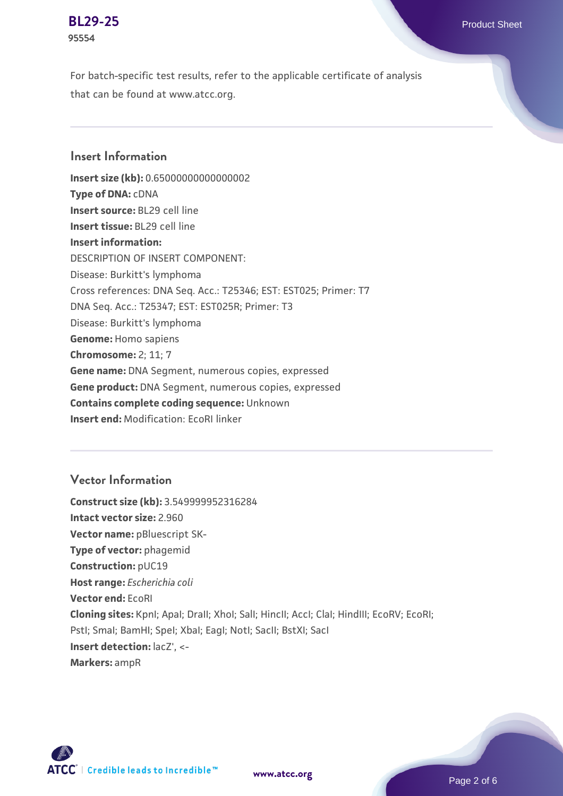#### **[BL29-25](https://www.atcc.org/products/95554)** Product Sheet **95554**

For batch-specific test results, refer to the applicable certificate of analysis that can be found at www.atcc.org.

### **Insert Information**

**Insert size (kb):** 0.65000000000000002 **Type of DNA:** cDNA **Insert source:** BL29 cell line **Insert tissue:** BL29 cell line **Insert information:** DESCRIPTION OF INSERT COMPONENT: Disease: Burkitt's lymphoma Cross references: DNA Seq. Acc.: T25346; EST: EST025; Primer: T7 DNA Seq. Acc.: T25347; EST: EST025R; Primer: T3 Disease: Burkitt's lymphoma **Genome:** Homo sapiens **Chromosome:** 2; 11; 7 **Gene name:** DNA Segment, numerous copies, expressed **Gene product:** DNA Segment, numerous copies, expressed **Contains complete coding sequence:** Unknown **Insert end:** Modification: EcoRI linker

## **Vector Information**

**Construct size (kb):** 3.549999952316284 **Intact vector size:** 2.960 **Vector name: pBluescript SK-Type of vector:** phagemid **Construction:** pUC19 **Host range:** *Escherichia coli* **Vector end:** EcoRI **Cloning sites:** KpnI; ApaI; DraII; XhoI; SalI; HincII; AccI; ClaI; HindIII; EcoRV; EcoRI; Pstl; Smal; BamHI; Spel; Xbal; EagI; NotI; SacII; BstXI; SacI **Insert detection:**  $lacZ'$ **, <-Markers:** ampR

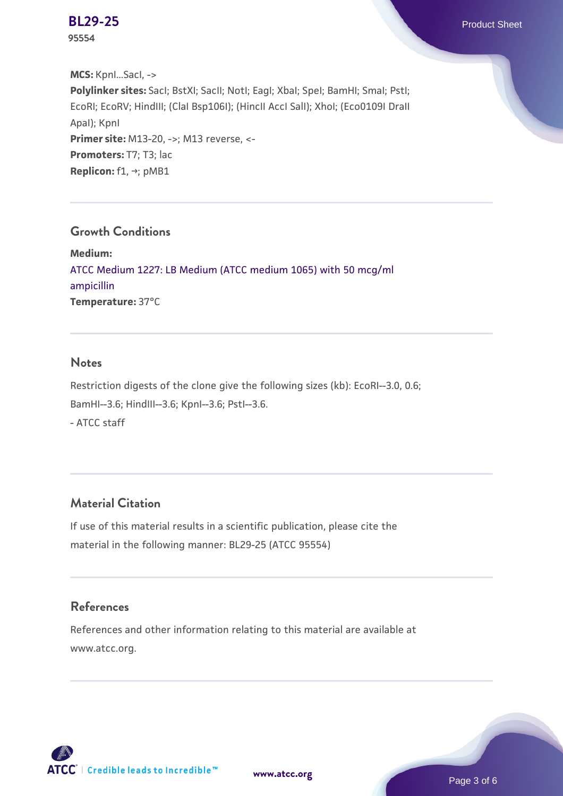**95554**

**MCS:** KpnI...SacI, -> **Polylinker sites:** SacI; BstXI; SacII; NotI; EagI; XbaI; SpeI; BamHI; SmaI; PstI; EcoRI; EcoRV; HindIII; (ClaI Bsp106I); (HincII AccI SalI); XhoI; (Eco0109I DraII ApaI); KpnI **Primer site:** M13-20, ->; M13 reverse, <-Promoters: T7; T3; lac **Replicon:** f1, →; pMB1

#### **Growth Conditions**

**Medium:**  [ATCC Medium 1227: LB Medium \(ATCC medium 1065\) with 50 mcg/ml](https://www.atcc.org/-/media/product-assets/documents/microbial-media-formulations/1/2/2/7/atcc-medium-1227.pdf?rev=581c98603b3e4b29a6d62ee0ba9ca578) [ampicillin](https://www.atcc.org/-/media/product-assets/documents/microbial-media-formulations/1/2/2/7/atcc-medium-1227.pdf?rev=581c98603b3e4b29a6d62ee0ba9ca578) **Temperature:** 37°C

#### **Notes**

Restriction digests of the clone give the following sizes (kb): EcoRI--3.0, 0.6; BamHI--3.6; HindIII--3.6; KpnI--3.6; PstI--3.6. - ATCC staff

## **Material Citation**

If use of this material results in a scientific publication, please cite the material in the following manner: BL29-25 (ATCC 95554)

## **References**

References and other information relating to this material are available at www.atcc.org.



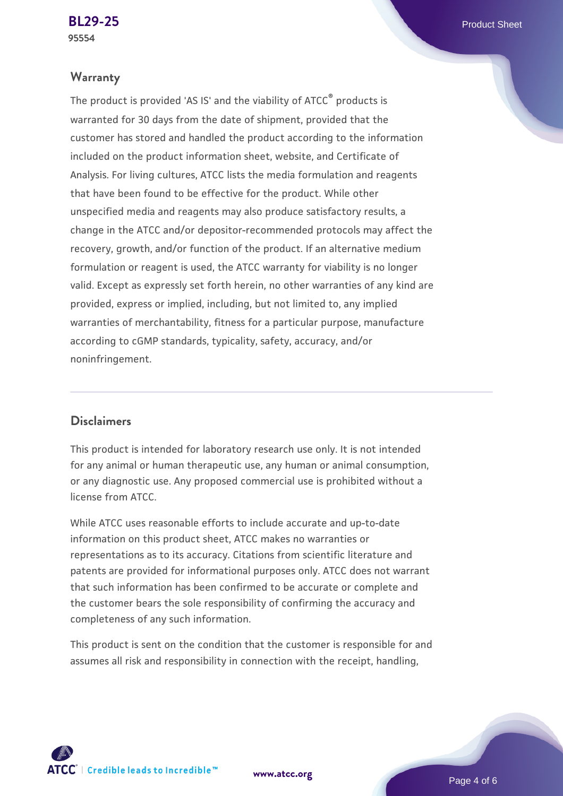#### **Warranty**

The product is provided 'AS IS' and the viability of ATCC® products is warranted for 30 days from the date of shipment, provided that the customer has stored and handled the product according to the information included on the product information sheet, website, and Certificate of Analysis. For living cultures, ATCC lists the media formulation and reagents that have been found to be effective for the product. While other unspecified media and reagents may also produce satisfactory results, a change in the ATCC and/or depositor-recommended protocols may affect the recovery, growth, and/or function of the product. If an alternative medium formulation or reagent is used, the ATCC warranty for viability is no longer valid. Except as expressly set forth herein, no other warranties of any kind are provided, express or implied, including, but not limited to, any implied warranties of merchantability, fitness for a particular purpose, manufacture according to cGMP standards, typicality, safety, accuracy, and/or noninfringement.

#### **Disclaimers**

This product is intended for laboratory research use only. It is not intended for any animal or human therapeutic use, any human or animal consumption, or any diagnostic use. Any proposed commercial use is prohibited without a license from ATCC.

While ATCC uses reasonable efforts to include accurate and up-to-date information on this product sheet, ATCC makes no warranties or representations as to its accuracy. Citations from scientific literature and patents are provided for informational purposes only. ATCC does not warrant that such information has been confirmed to be accurate or complete and the customer bears the sole responsibility of confirming the accuracy and completeness of any such information.

This product is sent on the condition that the customer is responsible for and assumes all risk and responsibility in connection with the receipt, handling,

**[www.atcc.org](http://www.atcc.org)**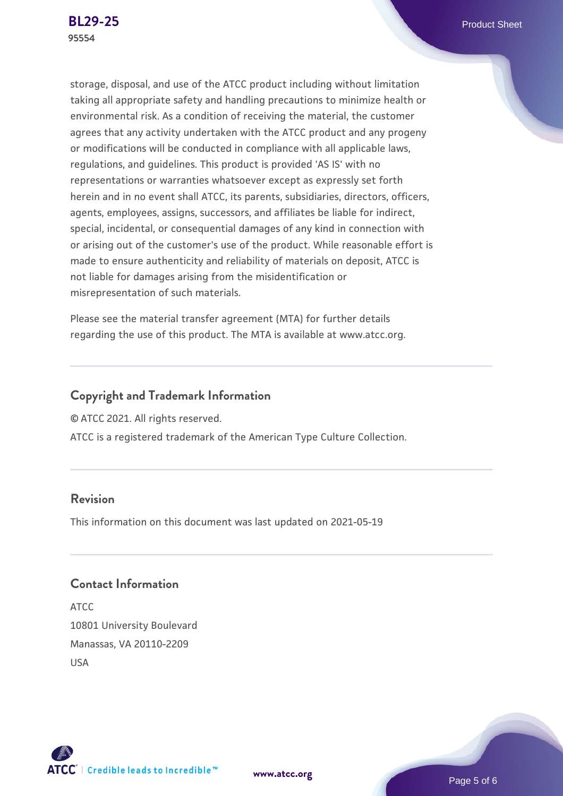storage, disposal, and use of the ATCC product including without limitation taking all appropriate safety and handling precautions to minimize health or environmental risk. As a condition of receiving the material, the customer agrees that any activity undertaken with the ATCC product and any progeny or modifications will be conducted in compliance with all applicable laws, regulations, and guidelines. This product is provided 'AS IS' with no representations or warranties whatsoever except as expressly set forth herein and in no event shall ATCC, its parents, subsidiaries, directors, officers, agents, employees, assigns, successors, and affiliates be liable for indirect, special, incidental, or consequential damages of any kind in connection with or arising out of the customer's use of the product. While reasonable effort is made to ensure authenticity and reliability of materials on deposit, ATCC is not liable for damages arising from the misidentification or misrepresentation of such materials.

Please see the material transfer agreement (MTA) for further details regarding the use of this product. The MTA is available at www.atcc.org.

## **Copyright and Trademark Information**

© ATCC 2021. All rights reserved.

ATCC is a registered trademark of the American Type Culture Collection.

## **Revision**

This information on this document was last updated on 2021-05-19

## **Contact Information**

ATCC 10801 University Boulevard Manassas, VA 20110-2209 USA